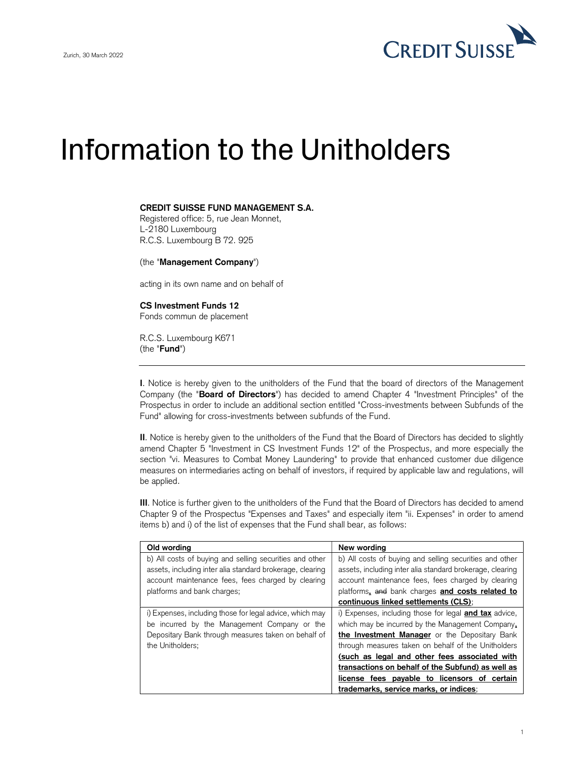

## Information to the Unitholders

## CREDIT SUISSE FUND MANAGEMENT S.A.

Registered office: 5, rue Jean Monnet, L-2180 Luxembourg R.C.S. Luxembourg B 72. 925

(the "Management Company")

acting in its own name and on behalf of

## CS Investment Funds 12

Fonds commun de placement

R.C.S. Luxembourg K671 (the "Fund")

I. Notice is hereby given to the unitholders of the Fund that the board of directors of the Management Company (the "Board of Directors") has decided to amend Chapter 4 "Investment Principles" of the Prospectus in order to include an additional section entitled "Cross-investments between Subfunds of the Fund" allowing for cross-investments between subfunds of the Fund.

II. Notice is hereby given to the unitholders of the Fund that the Board of Directors has decided to slightly amend Chapter 5 "Investment in CS Investment Funds 12" of the Prospectus, and more especially the section "vi. Measures to Combat Money Laundering" to provide that enhanced customer due diligence measures on intermediaries acting on behalf of investors, if required by applicable law and regulations, will be applied.

III. Notice is further given to the unitholders of the Fund that the Board of Directors has decided to amend Chapter 9 of the Prospectus "Expenses and Taxes" and especially item "ii. Expenses" in order to amend items b) and i) of the list of expenses that the Fund shall bear, as follows:

| Old wording                                               | New wording                                                   |  |
|-----------------------------------------------------------|---------------------------------------------------------------|--|
| b) All costs of buying and selling securities and other   | b) All costs of buying and selling securities and other       |  |
| assets, including inter alia standard brokerage, clearing | assets, including inter alia standard brokerage, clearing     |  |
| account maintenance fees, fees charged by clearing        | account maintenance fees, fees charged by clearing            |  |
| platforms and bank charges;                               | platforms, and bank charges and costs related to              |  |
|                                                           | continuous linked settlements (CLS);                          |  |
| i) Expenses, including those for legal advice, which may  | i) Expenses, including those for legal <b>and tax</b> advice, |  |
| be incurred by the Management Company or the              | which may be incurred by the Management Company.              |  |
| Depositary Bank through measures taken on behalf of       | the Investment Manager or the Depositary Bank                 |  |
| the Unitholders;                                          | through measures taken on behalf of the Unitholders           |  |
|                                                           | (such as legal and other fees associated with                 |  |
|                                                           | transactions on behalf of the Subfund) as well as             |  |
|                                                           | license fees payable to licensors of certain                  |  |
|                                                           | trademarks, service marks, or indices;                        |  |